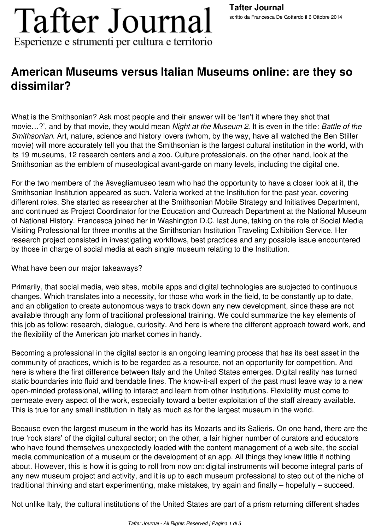# **Tafter Journal** Esperienze e strumenti per cultura e territorio

## **American Museums versus Italian Museums online: are they so dissimilar?**

What is the Smithsonian? Ask most people and their answer will be 'Isn't it where they shot that movie…?', and by that movie, they would mean *Night at the Museum 2*. It is even in the title: *Battle of the Smithsonian*. Art, nature, science and history lovers (whom, by the way, have all watched the Ben Stiller movie) will more accurately tell you that the Smithsonian is the largest cultural institution in the world, with its 19 museums, 12 research centers and a zoo. Culture professionals, on the other hand, look at the Smithsonian as the emblem of museological avant-garde on many levels, including the digital one.

For the two members of the #svegliamuseo team who had the opportunity to have a closer look at it, the Smithsonian Institution appeared as such. Valeria worked at the Institution for the past year, covering different roles. She started as researcher at the Smithsonian Mobile Strategy and Initiatives Department, and continued as Project Coordinator for the Education and Outreach Department at the National Museum of National History. Francesca joined her in Washington D.C. last June, taking on the role of Social Media Visiting Professional for three months at the Smithsonian Institution Traveling Exhibition Service. Her research project consisted in investigating workflows, best practices and any possible issue encountered by those in charge of social media at each single museum relating to the Institution.

### What have been our major takeaways?

Primarily, that social media, web sites, mobile apps and digital technologies are subjected to continuous changes. Which translates into a necessity, for those who work in the field, to be constantly up to date, and an obligation to create autonomous ways to track down any new development, since these are not available through any form of traditional professional training. We could summarize the key elements of this job as follow: research, dialogue, curiosity. And here is where the different approach toward work, and the flexibility of the American job market comes in handy.

Becoming a professional in the digital sector is an ongoing learning process that has its best asset in the community of practices, which is to be regarded as a resource, not an opportunity for competition. And here is where the first difference between Italy and the United States emerges. Digital reality has turned static boundaries into fluid and bendable lines. The know-it-all expert of the past must leave way to a new open-minded professional, willing to interact and learn from other institutions. Flexibility must come to permeate every aspect of the work, especially toward a better exploitation of the staff already available. This is true for any small institution in Italy as much as for the largest museum in the world.

Because even the largest museum in the world has its Mozarts and its Salieris. On one hand, there are the true 'rock stars' of the digital cultural sector; on the other, a fair higher number of curators and educators who have found themselves unexpectedly loaded with the content management of a web site, the social media communication of a museum or the development of an app. All things they knew little if nothing about. However, this is how it is going to roll from now on: digital instruments will become integral parts of any new museum project and activity, and it is up to each museum professional to step out of the niche of traditional thinking and start experimenting, make mistakes, try again and finally – hopefully – succeed.

Not unlike Italy, the cultural institutions of the United States are part of a prism returning different shades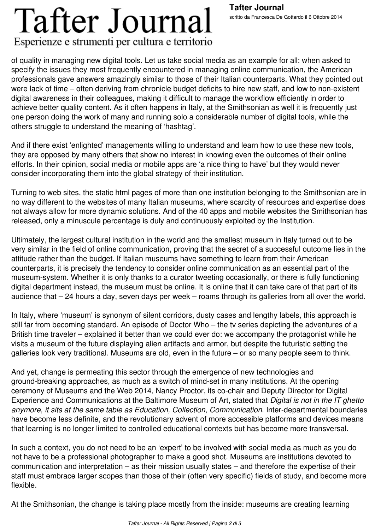#### **Tafter Journal** scritto da Francesca De Gottardo il 6 Ottobre 2014

# **Tafter Journal** Esperienze e strumenti per cultura e territorio

of quality in managing new digital tools. Let us take social media as an example for all: when asked to specify the issues they most frequently encountered in managing online communication, the American professionals gave answers amazingly similar to those of their Italian counterparts. What they pointed out were lack of time – often deriving from chronicle budget deficits to hire new staff, and low to non-existent digital awareness in their colleagues, making it difficult to manage the workflow efficiently in order to achieve better quality content. As it often happens in Italy, at the Smithsonian as well it is frequently just one person doing the work of many and running solo a considerable number of digital tools, while the others struggle to understand the meaning of 'hashtag'.

And if there exist 'enlighted' managements willing to understand and learn how to use these new tools, they are opposed by many others that show no interest in knowing even the outcomes of their online efforts. In their opinion, social media or mobile apps are 'a nice thing to have' but they would never consider incorporating them into the global strategy of their institution.

Turning to web sites, the static html pages of more than one institution belonging to the Smithsonian are in no way different to the websites of many Italian museums, where scarcity of resources and expertise does not always allow for more dynamic solutions. And of the 40 apps and mobile websites the Smithsonian has released, only a minuscule percentage is duly and continuously exploited by the Institution.

Ultimately, the largest cultural institution in the world and the smallest museum in Italy turned out to be very similar in the field of online communication, proving that the secret of a successful outcome lies in the attitude rather than the budget. If Italian museums have something to learn from their American counterparts, it is precisely the tendency to consider online communication as an essential part of the museum-system. Whether it is only thanks to a curator tweeting occasionally, or there is fully functioning digital department instead, the museum must be online. It is online that it can take care of that part of its audience that – 24 hours a day, seven days per week – roams through its galleries from all over the world.

In Italy, where 'museum' is synonym of silent corridors, dusty cases and lengthy labels, this approach is still far from becoming standard. An episode of Doctor Who – the tv series depicting the adventures of a British time traveler – explained it better than we could ever do: we accompany the protagonist while he visits a museum of the future displaying alien artifacts and armor, but despite the futuristic setting the galleries look very traditional. Museums are old, even in the future – or so many people seem to think.

And yet, change is permeating this sector through the emergence of new technologies and ground-breaking approaches, as much as a switch of mind-set in many institutions. At the opening ceremony of Museums and the Web 2014, Nancy Proctor, its co-chair and Deputy Director for Digital Experience and Communications at the Baltimore Museum of Art, stated that *Digital is not in the IT ghetto anymore, it sits at the same table as Education, Collection, Communication*. Inter-departmental boundaries have become less definite, and the revolutionary advent of more accessible platforms and devices means that learning is no longer limited to controlled educational contexts but has become more transversal.

In such a context, you do not need to be an 'expert' to be involved with social media as much as you do not have to be a professional photographer to make a good shot. Museums are institutions devoted to communication and interpretation – as their mission usually states – and therefore the expertise of their staff must embrace larger scopes than those of their (often very specific) fields of study, and become more flexible.

At the Smithsonian, the change is taking place mostly from the inside: museums are creating learning